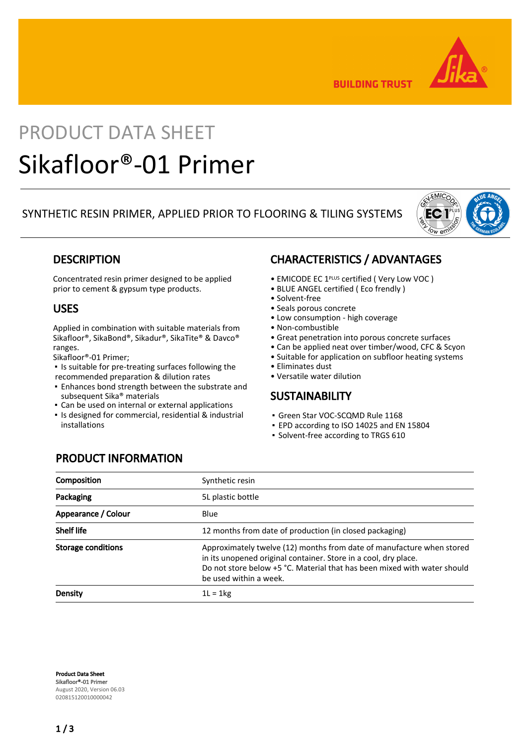

**BUILDING TRUST** 

# PRODUCT DATA SHEET Sikafloor®-01 Primer

### SYNTHETIC RESIN PRIMER, APPLIED PRIOR TO FLOORING & TILING SYSTEMS



### **DESCRIPTION**

Concentrated resin primer designed to be applied prior to cement & gypsum type products.

### USES

Applied in combination with suitable materials from Sikafloor®, SikaBond®, Sikadur®, SikaTite® & Davco® ranges.

Sikafloor®-01 Primer;

- Is suitable for pre-treating surfaces following the recommended preparation & dilution rates
- **Enhances bond strength between the substrate and** subsequent Sika® materials
- Can be used on internal or external applications
- Is designed for commercial, residential & industrial installations

### CHARACTERISTICS / ADVANTAGES

- EMICODE EC 1PLUS certified ( Very Low VOC )
- BLUE ANGEL certified ( Eco frendly )
- Solvent-free
- Seals porous concrete
- Low consumption high coverage
- Non-combustible
- Great penetration into porous concrete surfaces
- Can be applied neat over timber/wood, CFC & Scyon
- Suitable for application on subfloor heating systems
- Eliminates dust
- Versatile water dilution

### **SUSTAINABILITY**

- Green Star VOC-SCQMD Rule 1168
- EPD according to ISO 14025 and EN 15804
- Solvent-free according to TRGS 610

## PRODUCT INFORMATION

| Composition         | Synthetic resin                                                                                                                                                                                                                                |  |
|---------------------|------------------------------------------------------------------------------------------------------------------------------------------------------------------------------------------------------------------------------------------------|--|
| Packaging           | 5L plastic bottle                                                                                                                                                                                                                              |  |
| Appearance / Colour | Blue                                                                                                                                                                                                                                           |  |
| <b>Shelf life</b>   | 12 months from date of production (in closed packaging)                                                                                                                                                                                        |  |
| Storage conditions  | Approximately twelve (12) months from date of manufacture when stored<br>in its unopened original container. Store in a cool, dry place.<br>Do not store below +5 °C. Material that has been mixed with water should<br>be used within a week. |  |
| Density             | $1L = 1kg$                                                                                                                                                                                                                                     |  |

Product Data Sheet Sikafloor®-01 Primer August 2020, Version 06.03 020815120010000042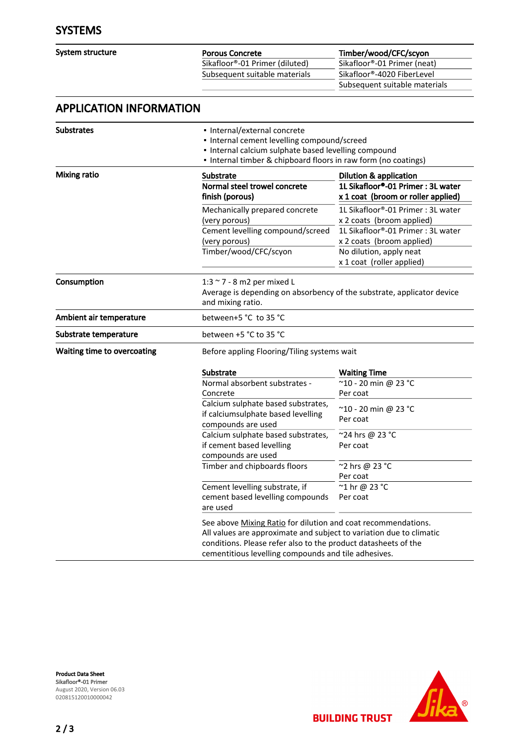| System structure |  |
|------------------|--|
|------------------|--|

Subsequent suitable materials

Porous Concrete<br>
Sikafloor®-01 Primer (diluted) Timber/wood/CFC/scyon<br>
Sikafloor®-01 Primer (neat) Sikafloor®-01 Primer (diluted)<br>Subsequent suitable materials Sikafloor®-01 Primer (neat) Subsequent suitable materials

## APPLICATION INFORMATION

| <b>Substrates</b>           | · Internal/external concrete<br>• Internal cement levelling compound/screed<br>· Internal calcium sulphate based levelling compound<br>• Internal timber & chipboard floors in raw form (no coatings)                                                          |                                                                                                                                                                                          |  |
|-----------------------------|----------------------------------------------------------------------------------------------------------------------------------------------------------------------------------------------------------------------------------------------------------------|------------------------------------------------------------------------------------------------------------------------------------------------------------------------------------------|--|
| <b>Mixing ratio</b>         | Substrate<br>Normal steel trowel concrete<br>finish (porous)                                                                                                                                                                                                   | <b>Dilution &amp; application</b><br>1L Sikafloor®-01 Primer: 3L water<br>x 1 coat (broom or roller applied)                                                                             |  |
|                             | Mechanically prepared concrete<br>(very porous)<br>Cement levelling compound/screed<br>(very porous)<br>Timber/wood/CFC/scyon                                                                                                                                  | 1L Sikafloor®-01 Primer: 3L water<br>x 2 coats (broom applied)<br>1L Sikafloor®-01 Primer: 3L water<br>x 2 coats (broom applied)<br>No dilution, apply neat<br>x 1 coat (roller applied) |  |
| Consumption                 | 1:3 ~ 7 - 8 m2 per mixed L<br>Average is depending on absorbency of the substrate, applicator device<br>and mixing ratio.                                                                                                                                      |                                                                                                                                                                                          |  |
| Ambient air temperature     | between+5 °C to 35 °C                                                                                                                                                                                                                                          |                                                                                                                                                                                          |  |
| Substrate temperature       | between +5 °C to 35 °C                                                                                                                                                                                                                                         |                                                                                                                                                                                          |  |
| Waiting time to overcoating | Before appling Flooring/Tiling systems wait                                                                                                                                                                                                                    |                                                                                                                                                                                          |  |
|                             | <b>Substrate</b>                                                                                                                                                                                                                                               | <b>Waiting Time</b>                                                                                                                                                                      |  |
|                             | Normal absorbent substrates -<br>Concrete                                                                                                                                                                                                                      | $\overline{10}$ - 20 min @ 23 °C<br>Per coat                                                                                                                                             |  |
|                             | Calcium sulphate based substrates,<br>if calciumsulphate based levelling<br>compounds are used                                                                                                                                                                 | ~10 - 20 min @ 23 °C<br>Per coat                                                                                                                                                         |  |
|                             | Calcium sulphate based substrates,<br>if cement based levelling<br>compounds are used                                                                                                                                                                          | ~24 hrs @ 23 °C<br>Per coat                                                                                                                                                              |  |
|                             | Timber and chipboards floors                                                                                                                                                                                                                                   | ~2 hrs @ 23 °C<br>Per coat                                                                                                                                                               |  |
|                             | Cement levelling substrate, if<br>cement based levelling compounds<br>are used                                                                                                                                                                                 | ~1 hr @ 23 °C<br>Per coat                                                                                                                                                                |  |
|                             | See above Mixing Ratio for dilution and coat recommendations.<br>All values are approximate and subject to variation due to climatic<br>conditions. Please refer also to the product datasheets of the<br>cementitious levelling compounds and tile adhesives. |                                                                                                                                                                                          |  |



**BUILDING TRUST**